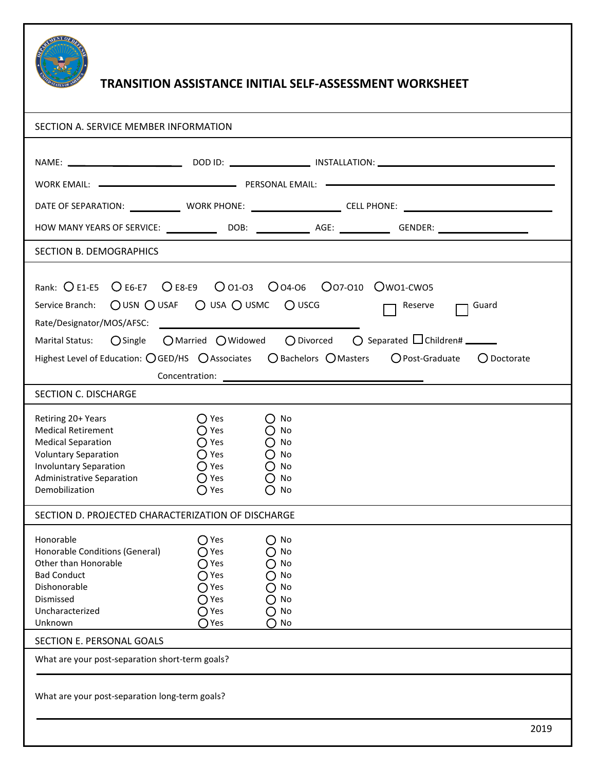

## **TRANSITION ASSISTANCE INITIAL SELF-ASSESSMENT WORKSHEET**

| SECTION A. SERVICE MEMBER INFORMATION                                                                                                                                                                                                                               |                                                                                                       |                                                                                                 |                                                                                                                                                                           |  |  |  |  |
|---------------------------------------------------------------------------------------------------------------------------------------------------------------------------------------------------------------------------------------------------------------------|-------------------------------------------------------------------------------------------------------|-------------------------------------------------------------------------------------------------|---------------------------------------------------------------------------------------------------------------------------------------------------------------------------|--|--|--|--|
| WORK EMAIL: -                                                                                                                                                                                                                                                       |                                                                                                       |                                                                                                 |                                                                                                                                                                           |  |  |  |  |
|                                                                                                                                                                                                                                                                     |                                                                                                       |                                                                                                 | DATE OF SEPARATION: _______________ WORK PHONE: ________________________ CELL PHONE: _________________________                                                            |  |  |  |  |
|                                                                                                                                                                                                                                                                     |                                                                                                       |                                                                                                 |                                                                                                                                                                           |  |  |  |  |
| SECTION B. DEMOGRAPHICS                                                                                                                                                                                                                                             |                                                                                                       |                                                                                                 |                                                                                                                                                                           |  |  |  |  |
|                                                                                                                                                                                                                                                                     |                                                                                                       |                                                                                                 |                                                                                                                                                                           |  |  |  |  |
| Rank: O E1-E5 O E6-E7 O E8-E9<br>OUSN OUSAF OUSA OUSMC OUSCG<br>Service Branch:<br>Rate/Designator/MOS/AFSC:<br>$O$ Single<br><b>Marital Status:</b><br>Highest Level of Education: $\bigcirc$ GED/HS $\bigcirc$ Associates $\bigcirc$ Bachelors $\bigcirc$ Masters |                                                                                                       |                                                                                                 | Reserve<br>Guard<br>$\bigcirc$ Married $\bigcirc$ Widowed $\bigcirc$ Divorced $\bigcirc$ Separated $\bigcirc$ Children# ______<br>○ Post-Graduate<br>$\bigcirc$ Doctorate |  |  |  |  |
|                                                                                                                                                                                                                                                                     | Concentration: _                                                                                      |                                                                                                 | <u> 1980 - Johann Barbara, martxa alemaniar a</u>                                                                                                                         |  |  |  |  |
| SECTION C. DISCHARGE                                                                                                                                                                                                                                                |                                                                                                       |                                                                                                 |                                                                                                                                                                           |  |  |  |  |
| Retiring 20+ Years<br><b>Medical Retirement</b><br><b>Medical Separation</b><br><b>Voluntary Separation</b><br><b>Involuntary Separation</b><br><b>Administrative Separation</b><br>Demobilization                                                                  | ○ Yes<br>( ) Yes<br>() Yes<br>( )Yes<br>() Yes<br>() Yes<br>◯ Yes                                     | () No<br>$()$ No<br>$\bigcirc$ No<br>$()$ No<br>No<br>$\left( \right)$<br>No<br>()<br>No<br>( ) |                                                                                                                                                                           |  |  |  |  |
| SECTION D. PROJECTED CHARACTERIZATION OF DISCHARGE                                                                                                                                                                                                                  |                                                                                                       |                                                                                                 |                                                                                                                                                                           |  |  |  |  |
| Honorable<br>Honorable Conditions (General)<br>Other than Honorable<br><b>Bad Conduct</b><br>Dishonorable<br>Dismissed<br>Uncharacterized<br>Unknown                                                                                                                | ∩Yes<br>◯ Yes<br>$\bigcirc$ Yes<br>$\bigcirc$ Yes<br>$\bigcirc$ Yes<br>$\bigcap$ Yes<br>◯ Yes<br>○Yes | $\bigcap$ No<br>O<br>No<br>No<br>No<br>( )<br>No<br>No<br>No<br>No                              |                                                                                                                                                                           |  |  |  |  |
| SECTION E. PERSONAL GOALS                                                                                                                                                                                                                                           |                                                                                                       |                                                                                                 |                                                                                                                                                                           |  |  |  |  |
| What are your post-separation short-term goals?                                                                                                                                                                                                                     |                                                                                                       |                                                                                                 |                                                                                                                                                                           |  |  |  |  |
| What are your post-separation long-term goals?                                                                                                                                                                                                                      |                                                                                                       |                                                                                                 |                                                                                                                                                                           |  |  |  |  |